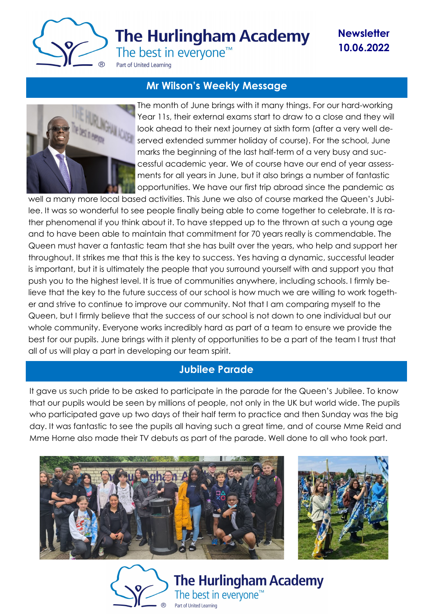

# **The Hurlingham Academy**

**Newsletter 10.06.2022**

The best in everyone<sup>™</sup>

Part of United Learning

## **Mr Wilson's Weekly Message**



The month of June brings with it many things. For our hard-working Year 11s, their external exams start to draw to a close and they will look ahead to their next journey at sixth form (after a very well deserved extended summer holiday of course). For the school, June marks the beginning of the last half-term of a very busy and successful academic year. We of course have our end of year assessments for all years in June, but it also brings a number of fantastic opportunities. We have our first trip abroad since the pandemic as

well a many more local based activities. This June we also of course marked the Queen's Jubilee. It was so wonderful to see people finally being able to come together to celebrate. It is rather phenomenal if you think about it. To have stepped up to the thrown at such a young age and to have been able to maintain that commitment for 70 years really is commendable. The Queen must haver a fantastic team that she has built over the years, who help and support her throughout. It strikes me that this is the key to success. Yes having a dynamic, successful leader is important, but it is ultimately the people that you surround yourself with and support you that push you to the highest level. It is true of communities anywhere, including schools. I firmly believe that the key to the future success of our school is how much we are willing to work together and strive to continue to improve our community. Not that I am comparing myself to the Queen, but I firmly believe that the success of our school is not down to one individual but our whole community. Everyone works incredibly hard as part of a team to ensure we provide the best for our pupils. June brings with it plenty of opportunities to be a part of the team I trust that all of us will play a part in developing our team spirit.

## **Jubilee Parade**

It gave us such pride to be asked to participate in the parade for the Queen's Jubilee. To know that our pupils would be seen by millions of people, not only in the UK but world wide. The pupils who participated gave up two days of their half term to practice and then Sunday was the big day. It was fantastic to see the pupils all having such a great time, and of course Mme Reid and Mme Horne also made their TV debuts as part of the parade. Well done to all who took part.





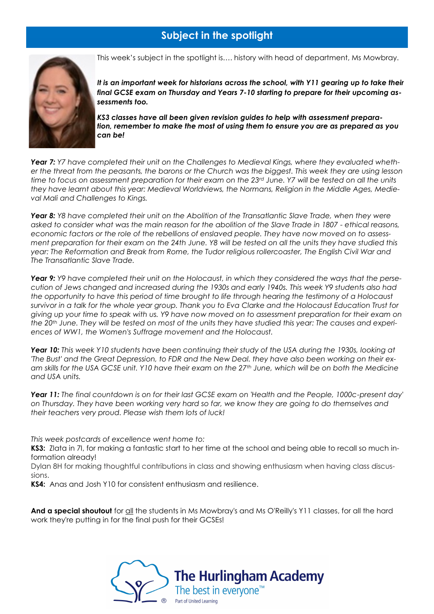## **Subject in the spotlight**



This week's subject in the spotlight is…. history with head of department, Ms Mowbray.

*It is an important week for historians across the school, with Y11 gearing up to take their final GCSE exam on Thursday and Years 7-10 starting to prepare for their upcoming assessments too.*

*KS3 classes have all been given revision guides to help with assessment preparation, remember to make the most of using them to ensure you are as prepared as you can be!*

Year 7: Y7 have completed their unit on the Challenges to Medieval Kings, where they evaluated wheth*er the threat from the peasants, the barons or the Church was the biggest. This week they are using lesson time to focus on assessment preparation for their exam on the 23rd June. Y7 will be tested on all the units they have learnt about this year: Medieval Worldviews, the Normans, Religion in the Middle Ages, Medieval Mali and Challenges to Kings.*

*Year 8: Y8* have completed their unit on the Abolition of the Transatlantic Slave Trade, when they were *asked to consider what was the main reason for the abolition of the Slave Trade in 1807 - ethical reasons, economic factors or the role of the rebellions of enslaved people. They have now moved on to assessment preparation for their exam on the 24th June. Y8 will be tested on all the units they have studied this year: The Reformation and Break from Rome, the Tudor religious rollercoaster, The English Civil War and The Transatlantic Slave Trade.*

*Year 9: Y9 have completed their unit on the Holocaust, in which they considered the ways that the persecution of Jews changed and increased during the 1930s and early 1940s. This week Y9 students also had the opportunity to have this period of time brought to life through hearing the testimony of a Holocaust survivor in a talk for the whole year group. Thank you to Eva Clarke and the Holocaust Education Trust for giving up your time to speak with us. Y9 have now moved on to assessment preparation for their exam on the 20th June. They will be tested on most of the units they have studied this year: The causes and experiences of WW1, the Women's Suffrage movement and the Holocaust.*

*Year 10: This week Y10 students have been continuing their study of the USA during the 1930s, looking at 'The Bust' and the Great Depression, to FDR and the New Deal. they have also been working on their exam skills for the USA GCSE unit. Y10 have their exam on the 27th June, which will be on both the Medicine and USA units.*

*Year 11: The final countdown is on for their last GCSE exam on 'Health and the People, 1000c-present day' on Thursday. They have been working very hard so far, we know they are going to do themselves and their teachers very proud. Please wish them lots of luck!*

*This week postcards of excellence went home to:*

**KS3:** Zlata in 7I, for making a fantastic start to her time at the school and being able to recall so much information already!

Dylan 8H for making thoughtful contributions in class and showing enthusiasm when having class discussions.

**KS4:** Anas and Josh Y10 for consistent enthusiasm and resilience.

**And a special shoutout** for all the students in Ms Mowbray's and Ms O'Reilly's Y11 classes, for all the hard work they're putting in for the final push for their GCSEs!

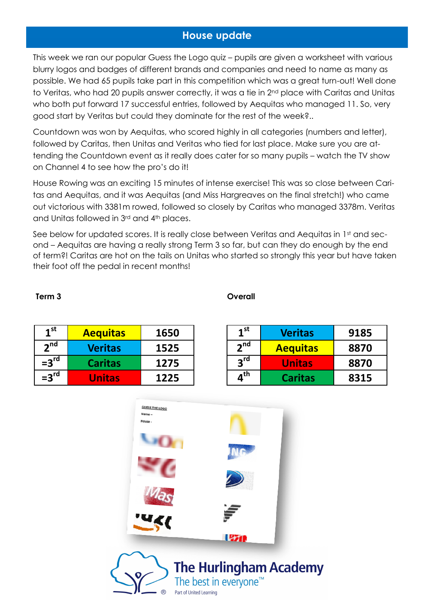## **House update**

This week we ran our popular Guess the Logo quiz – pupils are given a worksheet with various blurry logos and badges of different brands and companies and need to name as many as possible. We had 65 pupils take part in this competition which was a great turn-out! Well done to Veritas, who had 20 pupils answer correctly, it was a tie in 2<sup>nd</sup> place with Caritas and Unitas who both put forward 17 successful entries, followed by Aequitas who managed 11. So, very good start by Veritas but could they dominate for the rest of the week?..

Countdown was won by Aequitas, who scored highly in all categories (numbers and letter), followed by Caritas, then Unitas and Veritas who tied for last place. Make sure you are attending the Countdown event as it really does cater for so many pupils – watch the TV show on Channel 4 to see how the pro's do it!

House Rowing was an exciting 15 minutes of intense exercise! This was so close between Caritas and Aequitas, and it was Aequitas (and Miss Hargreaves on the final stretch!) who came out victorious with 3381m rowed, followed so closely by Caritas who managed 3378m. Veritas and Unitas followed in 3rd and 4th places.

See below for updated scores. It is really close between Veritas and Aequitas in 1st and second – Aequitas are having a really strong Term 3 so far, but can they do enough by the end of term?! Caritas are hot on the tails on Unitas who started so strongly this year but have taken their foot off the pedal in recent months!

### **Term 3** Overall

| 1 <sup>st</sup>  | <b>Aequitas</b> | 1650 |
|------------------|-----------------|------|
| 2 <sup>nd</sup>  | <b>Veritas</b>  | 1525 |
| $=3rd$           | <b>Caritas</b>  | 1275 |
| $=3^{\text{rd}}$ | <b>Unitas</b>   | 1225 |

| 1 <sup>st</sup>            | <b>Veritas</b>  | 9185 |
|----------------------------|-----------------|------|
| 2 <sup>nd</sup>            | <b>Aequitas</b> | 8870 |
| 3 <sup>rd</sup>            | <b>Unitas</b>   | 8870 |
| $\mathbf{4}^{\mathsf{th}}$ | <b>Caritas</b>  | 8315 |

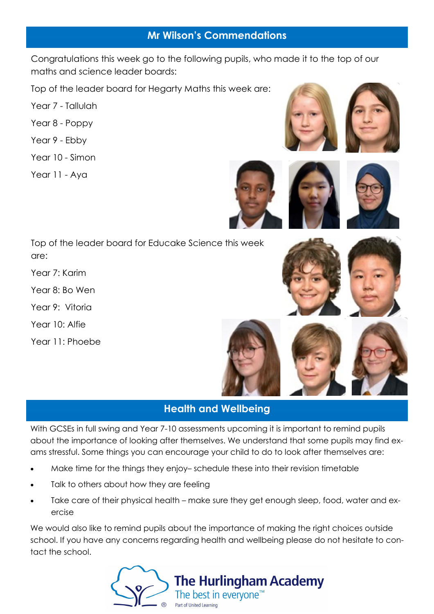## **Mr Wilson's Commendations**

Congratulations this week go to the following pupils, who made it to the top of our maths and science leader boards:

Top of the leader board for Hegarty Maths this week are:

- Year 7 Tallulah
- Year 8 Poppy
- Year 9 Ebby
- Year 10 Simon
- Year 11 Aya









Top of the leader board for Educake Science this week are:

Year 7: Karim

Year 8: Bo Wen

Year 9: Vitoria

Year 10: Alfie

Year 11: Phoebe





## **Health and Wellbeing**

With GCSEs in full swing and Year 7-10 assessments upcoming it is important to remind pupils about the importance of looking after themselves. We understand that some pupils may find exams stressful. Some things you can encourage your child to do to look after themselves are:

- Make time for the things they enjoy– schedule these into their revision timetable
- Talk to others about how they are feeling
- Take care of their physical health make sure they get enough sleep, food, water and exercise

We would also like to remind pupils about the importance of making the right choices outside school. If you have any concerns regarding health and wellbeing please do not hesitate to contact the school.